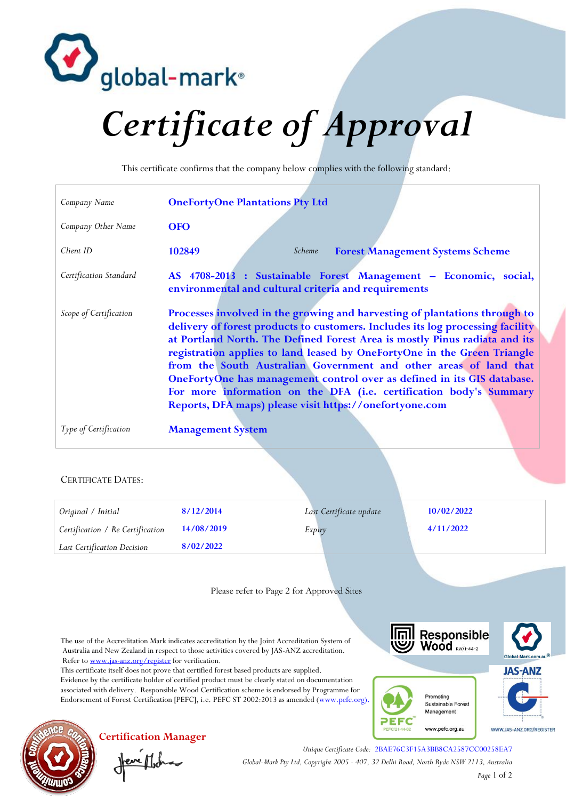

## *Certificate of Approval*

This certificate confirms that the company below complies with the following standard:

| Company Name                                                                                                                                                                                                                                                                                               | <b>OneFortyOne Plantations Pty Ltd</b>                                                                                                                                                                                                                                                                                                                                                                                                                                                                                                                                                                  |                                           |                                         |
|------------------------------------------------------------------------------------------------------------------------------------------------------------------------------------------------------------------------------------------------------------------------------------------------------------|---------------------------------------------------------------------------------------------------------------------------------------------------------------------------------------------------------------------------------------------------------------------------------------------------------------------------------------------------------------------------------------------------------------------------------------------------------------------------------------------------------------------------------------------------------------------------------------------------------|-------------------------------------------|-----------------------------------------|
| Company Other Name                                                                                                                                                                                                                                                                                         | <b>OFO</b>                                                                                                                                                                                                                                                                                                                                                                                                                                                                                                                                                                                              |                                           |                                         |
| Client ID                                                                                                                                                                                                                                                                                                  | 102849                                                                                                                                                                                                                                                                                                                                                                                                                                                                                                                                                                                                  | Scheme                                    | <b>Forest Management Systems Scheme</b> |
| Certification Standard                                                                                                                                                                                                                                                                                     | AS 4708-2013 : Sustainable Forest Management - Economic, social,<br>environmental and cultural criteria and requirements                                                                                                                                                                                                                                                                                                                                                                                                                                                                                |                                           |                                         |
| Scope of Certification                                                                                                                                                                                                                                                                                     | Processes involved in the growing and harvesting of plantations through to<br>delivery of forest products to customers. Includes its log processing facility<br>at Portland North. The Defined Forest Area is mostly Pinus radiata and its<br>registration applies to land leased by OneFortyOne in the Green Triangle<br>from the South Australian Government and other areas of land that<br>OneFortyOne has management control over as defined in its GIS database.<br>For more information on the DFA (i.e. certification body's Summary<br>Reports, DFA maps) please visit https://onefortyone.com |                                           |                                         |
| Type of Certification                                                                                                                                                                                                                                                                                      | <b>Management System</b>                                                                                                                                                                                                                                                                                                                                                                                                                                                                                                                                                                                |                                           |                                         |
| <b>CERTIFICATE DATES:</b>                                                                                                                                                                                                                                                                                  |                                                                                                                                                                                                                                                                                                                                                                                                                                                                                                                                                                                                         |                                           |                                         |
| Original / Initial                                                                                                                                                                                                                                                                                         | 8/12/2014                                                                                                                                                                                                                                                                                                                                                                                                                                                                                                                                                                                               | Last Certificate update                   | 10/02/2022                              |
| Certification / Re Certification                                                                                                                                                                                                                                                                           | 14/08/2019                                                                                                                                                                                                                                                                                                                                                                                                                                                                                                                                                                                              | Expiry                                    | 4/11/2022                               |
| Last Certification Decision                                                                                                                                                                                                                                                                                | 8/02/2022                                                                                                                                                                                                                                                                                                                                                                                                                                                                                                                                                                                               |                                           |                                         |
|                                                                                                                                                                                                                                                                                                            |                                                                                                                                                                                                                                                                                                                                                                                                                                                                                                                                                                                                         | Please refer to Page 2 for Approved Sites |                                         |
| Responsible<br>Wood RW/1-44-2<br>The use of the Accreditation Mark indicates accreditation by the Joint Accreditation System of<br>Australia and New Zealand in respect to those activities covered by JAS-ANZ accreditation.<br>Global-Mark.com.au<br>Refer to www.jas-anz.org/register for verification. |                                                                                                                                                                                                                                                                                                                                                                                                                                                                                                                                                                                                         |                                           |                                         |
| This certificate itself does not prove that certified forest based products are supplied.<br><b>JAS-ANZ</b>                                                                                                                                                                                                |                                                                                                                                                                                                                                                                                                                                                                                                                                                                                                                                                                                                         |                                           |                                         |

Evidence by the certificate holder of certified product must be clearly stated on documentation associated with delivery. Responsible Wood Certification scheme is endorsed by Programme for Endorsement of Forest Certification [PEFC], i.e. PEFC ST 2002:2013 as amended [\(www.pefc.org\)](http://www.pefc.org/).







**Certification Manager** Jeve Moha

*Unique Certificate Code:* 2BAE76C3F15A3BB8CA2587CC00258EA7 *Global-Mark Pty Ltd, Copyright 2005 - 407, 32 Delhi Road, North Ryde NSW 2113, Australia Page* 1 of 2